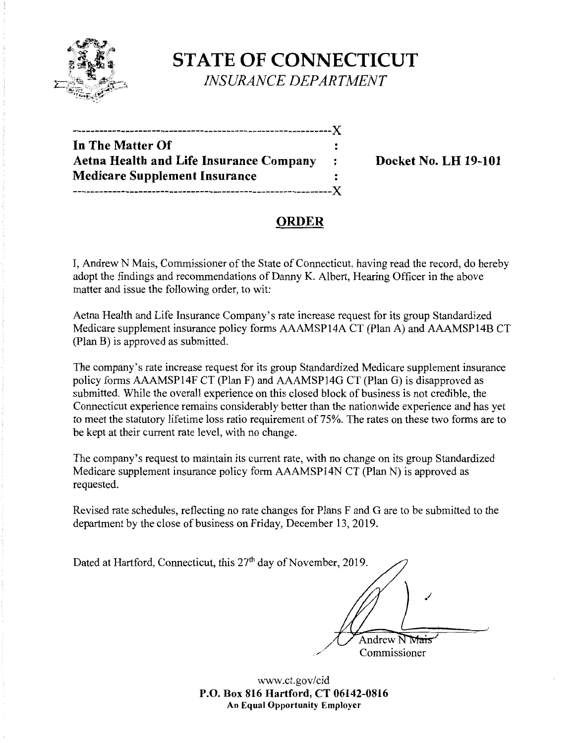

# **STATE OF CONNECTICUT** *INSURANCE DEPARTMENT*

| -----------------------------------X    |              |
|-----------------------------------------|--------------|
| In The Matter Of                        |              |
| Aetna Health and Life Insurance Company | $\mathbf{r}$ |
| <b>Medicare Supplement Insurance</b>    |              |
|                                         |              |

## **Docket No. LH 19-101**

# **ORDER**

I, Andrew N Mais, Commissioner of the State of Connecticut, having read the record, do hereby adopt the findings and recommendations of Danny K. Albert, Hearing Officer in the above matter and issue the following order, to wit:

Aetna Health and Life Insurance Company's rate increase request for its group Standardized Medicare supplement insurance policy forms AAAMSP14A CT (Plan A) and AAAMSP14B CT (Plan B) is approved as submitted.

The company's rate increase request for its group Standardized Medicare supplement insurance policy forms AAAMSP14F CT (Plan F) and AAAMSP14G CT (Plan G) is disapproved as submitted. While the overall experience on this closed block of business is not credible, the Connecticut experience remains considerably better than the nationwide experience and has yet to meet the statutory lifetime loss ratio requirement of 75%. The rates on these two forms are to be kept at their current rate level, with no change.

The company's request to maintain its current rate, with no change on its group Standardized Medicare supplement insurance policy form AAAMSP14N CT (Plan N) is approved as requested.

Revised rate schedules, reflecting no rate changes for Plans F and G are to be submitted to the department by the close of business on Friday, December 13, 2019.

| Dated at Hartford, Connecticut, this 27 <sup>th</sup> day of November, 2019. |  |
|------------------------------------------------------------------------------|--|
|                                                                              |  |
|                                                                              |  |
| Andrew N Mais                                                                |  |
| Commissioner                                                                 |  |

www.ct.gov/cid **P.O. Box 816 Hartford, CT 06142-0816 An Equal Opportunity Employer**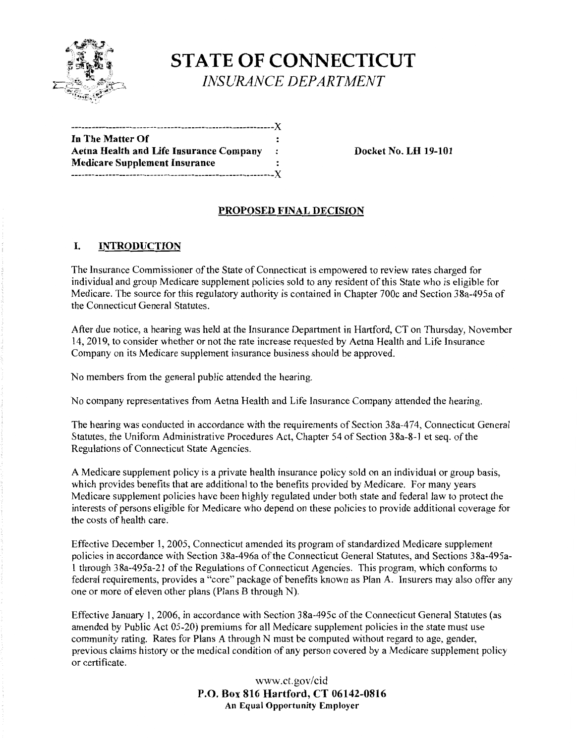

# **STATE OF CONNECTICUT** *INSURANCE DEPARTMENT*

| In The Matter Of                        |           |
|-----------------------------------------|-----------|
| Aetna Health and Life Insurance Company | $\cdot$ : |
| <b>Medicare Supplement Insurance</b>    |           |
| ---------------------------------X      |           |

**Docket No. LH 19-101** 

### **PROPOSED FINAL DECISION**

#### I. **INTRODUCTION**

The Insurance Commissioner of the State of Connecticut is empowered to review rates charged for individual and group Medicare supplement policies sold to any resident of this State who is eligible for Medicare. The source for this regulatory authority is contained in Chapter 700c and Section 38a-495a of the Connecticut General Statutes.

After due notice, a hearing was held at the Insurance Department in Hartford, CT on Thursday, November 14, 2019, to consider whether or not the rate increase requested by Aetna Health and Life Insurance Company on its Medicare supplement insurance business should be approved.

No members from the general public attended the hearing.

No company representatives from Aetna Health and Life Insurance Company attended the hearing.

The hearing was conducted in accordance with the requirements of Section 38a-474, Connecticut General Statutes, the Uniform Administrative Procedures Act, Chapter 54 of Section 38a-8-l et seq. of the Regulations of Connecticut State Agencies.

A Medicare supplement policy is a private health insurance policy sold on an individual or group basis, which provides benefits that are additional to the benefits provided by Medicare. For many years Medicare supplement policies have been highly regulated under both state and federal law to protect the interests of persons eligible for Medicare who depend on these policies to provide additional coverage for the costs of health care.

Effective December 1, 2005, Connecticut amended its program of standardized Medicare supplement policies in accordance with Section 38a-496a of the Connecticut General Statutes, and Sections 38a-495al through 38a-495a-21 of the Regulations of Connecticut Agencies. This program, which conforms to federal requirements, provides a "core" package of benefits known as Plan A. Insurers may also offer any one or more of eleven other plans (Plans B through N).

Effective January 1, 2006, in accordance with Section 38a-495c of the Connecticut General Statutes (as amended by Public Act 05-20) premiums for all Medicare supplement policies in the state must use community rating. Rates for Plans A through N must be computed without regard to age, gender, previous claims history or the medical condition of any person covered by a Medicare supplement policy or certificate.

> www.ct.gov/cid **P.O. Box 816 Hartford, CT 06142-0816 An Equal Opportunity Employer**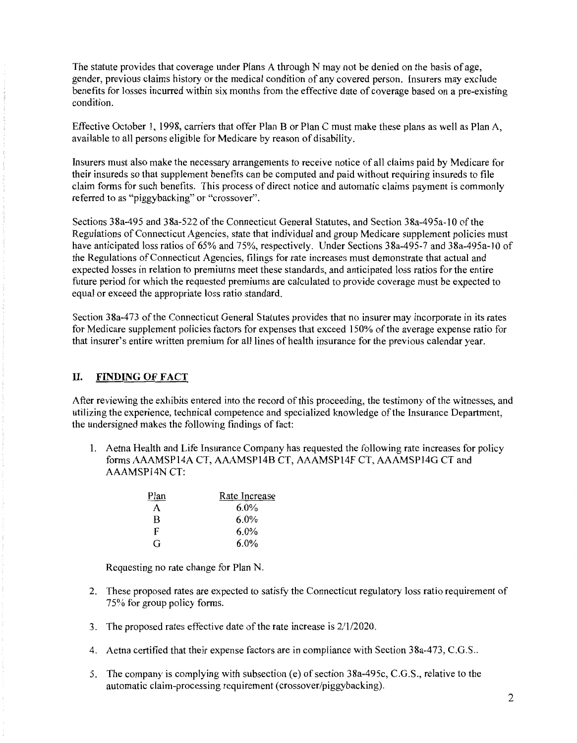The statute provides that coverage under Plans A through N may not be denied on the basis of age, gender, previous claims history or the medical condition of any covered person. Insurers may exclude benefits for losses incurred within six months from the effective date of coverage based on a pre-existing condition.

Effective October 1, 1998, carriers that offer Plan B or Plan C must make these plans as well as Plan A, available to all persons eligible for Medicare by reason of disability.

Insurers must also make the necessary arrangements to receive notice of all claims paid by Medicare for their insureds so that supplement benefits can be computed and paid without requiring insureds to file claim forms for such benefits. This process of direct notice and automatic claims payment is commonly referred to as "piggybacking" or "crossover".

Sections 38a-495 and 38a-522 of the Connecticut General Statutes, and Section 38a-495a-10 of the Regulations of Connecticut Agencies, state that individual and group Medicare supplement policies must have anticipated loss ratios of 65% and 75%, respectively. Under Sections 38a-495-7 and 38a-495a-10 of the Regulations of Connecticut Agencies, filings for rate increases must demonstrate that actual and expected losses in relation to premiums meet these standards, and anticipated loss ratios for the entire future period for which the requested premiums are calculated to provide coverage must be expected to equal or exceed the appropriate loss ratio standard.

Section 38a-473 of the Connecticut General Statutes provides that no insurer may incorporate in its rates for Medicare supplement policies factors for expenses that exceed 150% of the average expense ratio for that insurer's entire written premium for all lines of health insurance for the previous calendar year.

#### **II. FINDING OF FACT**

After reviewing the exhibits entered into the record of this proceeding, the testimony of the witnesses, and utilizing the experience, technical competence and specialized knowledge of the Insurance Department, the undersigned makes the following findings of fact:

1. Aetna Health and Life Insurance Company has requested the following rate increases for policy forms AAAMSP14A CT, AAAMSP14B CT, AAAMSP14F CT, AAAMSP14G CT and AAAMSP14N CT:

| Plan | Rate Increase |
|------|---------------|
| А    | $6.0\%$       |
| В    | $6.0\%$       |
| F    | $6.0\%$       |
| G    | $6.0\%$       |

Requesting no rate change for Plan N.

- 2. These proposed rates are expected to satisfy the Connecticut regulatory loss ratio requirement of 75% for group policy forms.
- 3. The proposed rates effective date of the rate increase is 2/1/2020.
- 4. Aetna certified that their expense factors are in compliance with Section 38a-473, C.G.S ..
- 5. The company is complying with subsection (e) of section 38a-495c, C.G.S., relative to the automatic claim-processing requirement (crossover/piggybacking).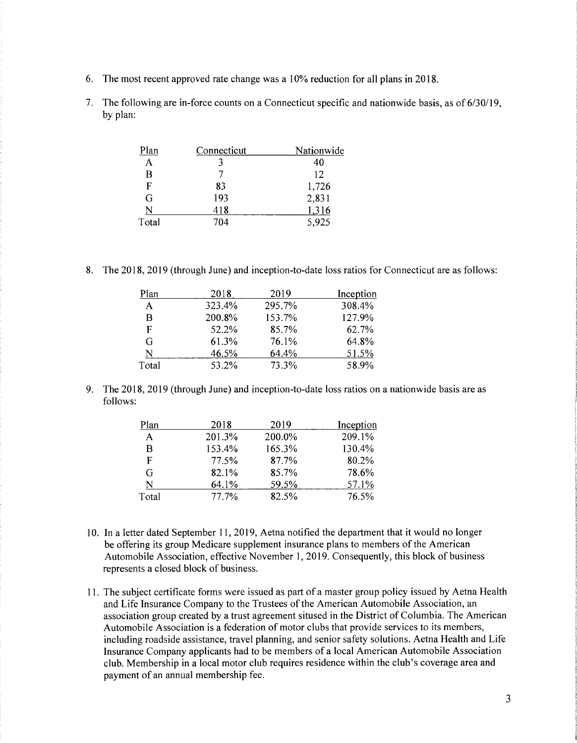- 6. The most recent approved rate change was a 10% reduction for all plans in 2018.
- 7. The following are in-force counts on a Connecticut specific and nationwide basis, as of 6/30/19, by plan:

| Plan         | Connecticut | Nationwide |
|--------------|-------------|------------|
| $\mathbf{A}$ |             | 40         |
| B            |             | 12         |
| F            | 83          | 1,726      |
| G            | 193         | 2,831      |
|              | 418         | 1,316      |
| Total        | 704         | 5,925      |

8. The 2018, 2019 (through June) and inception-to-date loss ratios for Connecticut are as follows:

| Plan  | 2018   | 2019   | Inception |
|-------|--------|--------|-----------|
| A     | 323.4% | 295.7% | 308.4%    |
| B     | 200.8% | 153.7% | 127.9%    |
| F     | 52.2%  | 85.7%  | 62.7%     |
| G     | 61.3%  | 76.1%  | 64.8%     |
| N     | 46.5%  | 64.4%  | 51.5%     |
| Total | 53.2%  | 73.3%  | 58.9%     |

9. The 2018, 2019 (through June) and inception-to-date loss ratios on a nationwide basis are as follows:

| Plan  | 2018   | 2019   | Inception |
|-------|--------|--------|-----------|
| A     | 201.3% | 200.0% | 209.1%    |
| B     | 153.4% | 165.3% | 130.4%    |
| F     | 77.5%  | 87.7%  | 80.2%     |
| G     | 82.1%  | 85.7%  | 78.6%     |
| N     | 64.1%  | 59.5%  | 57.1%     |
| Total | 77.7%  | 82.5%  | 76.5%     |

- 10. In a letter dated September 11, 2019, Aetna notified the department that it would no longer be offering its group Medicare supplement insurance plans to members of the American Automobile Association, effective November 1, 2019. Consequently, this block of business represents a closed block of business.
- 11. The subject certificate forms were issued as part of a master group policy issued by Aetna Health and Life Insurance Company to the Trustees of the American Automobile Association, an association group created by a trust agreement sitused in the District of Columbia. The American Automobile Association is a federation of motor clubs that provide services to its members, including roadside assistance, travel planning, and senior safety solutions. Aetna Health and Life Insurance Company applicants had to be members of a local American Automobile Association club. Membership in a local motor club requires residence within the club's coverage area and payment of an annual membership fee.